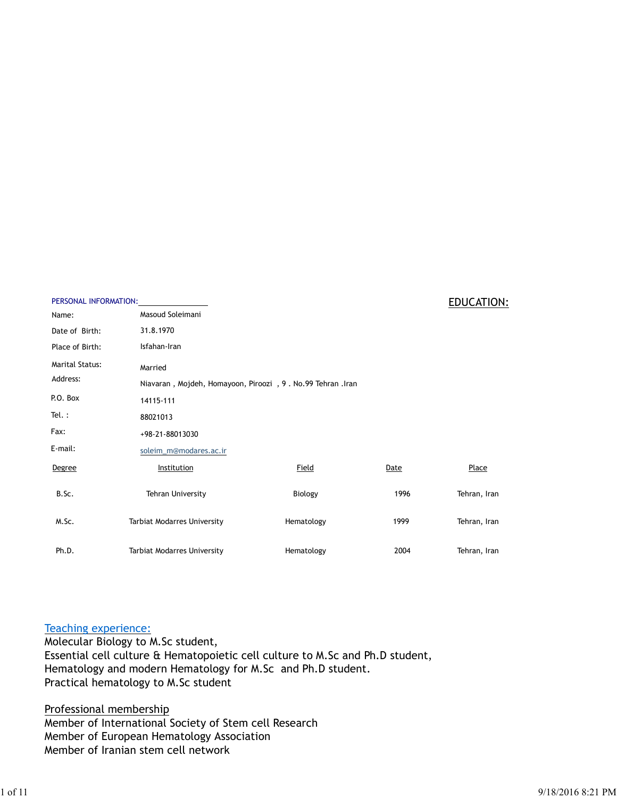| PERSONAL INFORMATION: |                                                            | <b>EDUCATION:</b> |      |              |  |
|-----------------------|------------------------------------------------------------|-------------------|------|--------------|--|
| Name:                 | Masoud Soleimani                                           |                   |      |              |  |
| Date of Birth:        | 31.8.1970                                                  |                   |      |              |  |
| Place of Birth:       | Isfahan-Iran                                               |                   |      |              |  |
| Marital Status:       | Married                                                    |                   |      |              |  |
| Address:              | Niavaran, Mojdeh, Homayoon, Piroozi, 9. No.99 Tehran. Iran |                   |      |              |  |
| P.O. Box              | 14115-111                                                  |                   |      |              |  |
| Tel.:                 | 88021013                                                   |                   |      |              |  |
| Fax:                  | +98-21-88013030                                            |                   |      |              |  |
| E-mail:               | soleim_m@modares.ac.ir                                     |                   |      |              |  |
| Degree                | Institution                                                | <b>Field</b>      | Date | Place        |  |
| B.Sc.                 | <b>Tehran University</b>                                   | Biology           | 1996 | Tehran, Iran |  |
| M.Sc.                 | <b>Tarbiat Modarres University</b>                         | Hematology        | 1999 | Tehran, Iran |  |
| Ph.D.                 | Tarbiat Modarres University                                | Hematology        | 2004 | Tehran, Iran |  |

## Teaching experience:

Molecular Biology to M.Sc student, Essential cell culture & Hematopoietic cell culture to M.Sc and Ph.D student, Hematology and modern Hematology for M.Sc and Ph.D student. Practical hematology to M.Sc student

Professional membership Member of International Society of Stem cell Research Member of European Hematology Association Member of Iranian stem cell network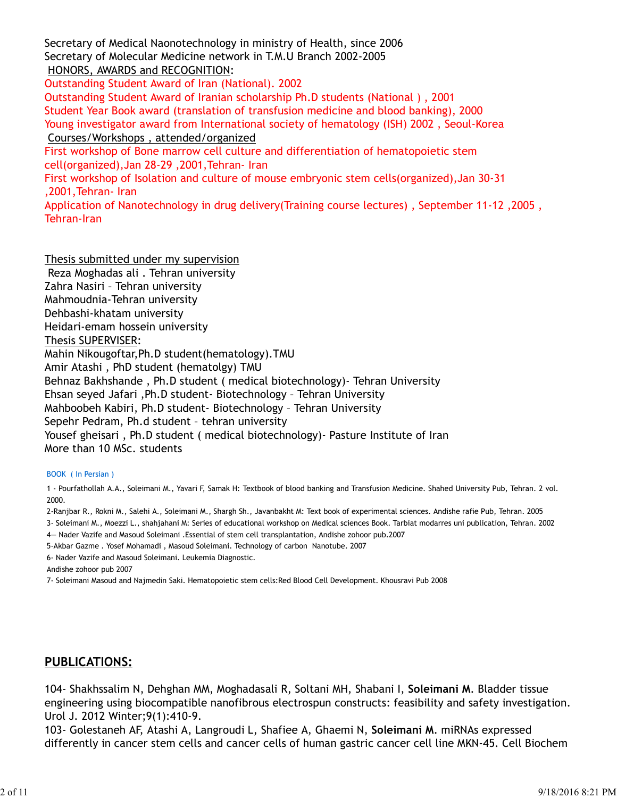Secretary of Medical Naonotechnology in ministry of Health, since 2006 Secretary of Molecular Medicine network in T.M.U Branch 2002-2005 HONORS, AWARDS and RECOGNITION:

Outstanding Student Award of Iran (National). 2002

Outstanding Student Award of Iranian scholarship Ph.D students (National ) , 2001 Student Year Book award (translation of transfusion medicine and blood banking), 2000 Young investigator award from International society of hematology (ISH) 2002 , Seoul-Korea Courses/Workshops , attended/organized

First workshop of Bone marrow cell culture and differentiation of hematopoietic stem cell(organized),Jan 28-29 ,2001,Tehran- Iran

First workshop of Isolation and culture of mouse embryonic stem cells(organized),Jan 30-31 ,2001,Tehran- Iran

Application of Nanotechnology in drug delivery(Training course lectures) , September 11-12 ,2005 , Tehran-Iran

Thesis submitted under my supervision Reza Moghadas ali . Tehran university Zahra Nasiri – Tehran university Mahmoudnia-Tehran university Dehbashi-khatam university Heidari-emam hossein university Thesis SUPERVISER: Mahin Nikougoftar,Ph.D student(hematology).TMU Amir Atashi , PhD student (hematolgy) TMU Behnaz Bakhshande , Ph.D student ( medical biotechnology)- Tehran University Ehsan seyed Jafari ,Ph.D student- Biotechnology – Tehran University Mahboobeh Kabiri, Ph.D student- Biotechnology – Tehran University Sepehr Pedram, Ph.d student – tehran university Yousef gheisari, Ph.D student (medical biotechnology) Pasture Institute of Iran More than 10 MSc. students Inears suburinted united Therma university<br>Razin Nashir - Tehran university<br>Mahmoudnia-Tehran university<br>Mahmoudnia-Tehran university<br>Mahmoudnia-Tehran university<br>Thesis SUPERVISER:<br>Medical A: Maximum Microsofter, Ph. D. S Mahmoudnia-Tehran university<br>
Pehbashi-khatam university<br>
Heidari-emam hossein university<br>
Heisis SUPERVISER:<br>
Mahin Nikougoftar, Ph.D student (hematology). TMU<br>
Mmir Atashi , PhD student (medical biotechnology) - Tehran<br> 1eidari – emam hossein university<br>Thesis SUPERWISER:<br>Wahiti Nikougoftar,Ph. D student (hematology). TMU<br>Marin Nikougoftar,Ph. D student (mematology) - Tehran University<br>Schan Seyed Jafari, Ph. D. Butdent – Biotechnology –

## BOOK ( In Persian )

1 - Pourfathollah A.A., Soleimani M., Yavari F, Samak H: Textbook of blood banking and Transfusion Medicine. Shahed University Pub, Tehran. 2 vol. 2000.

2-Ranjbar R., Rokni M., Salehi A., Soleimani M., Shargh Sh., Javanbakht M: Text book of experimental sciences. Andishe rafie Pub, Tehran. 2005

4— Nader Vazife and Masoud Soleimani .Essential of stem cell transplantation, Andishe zohoor pub.2007

5-Akbar Gazme . Yosef Mohamadi , Masoud Soleimani. Technology of carbon Nanotube. 2007

Andishe zohoor pub 2007

# PUBLICATIONS:

Nousef gheisari , Ph.D student ( medical biotechnology) - Pasture Institute of Iran<br>
More than 10 MSc. students<br>
100% (in Persian )<br>
100% (in Persian )<br>
100% (in Persian )<br>
100, the Charles A.A., Soleiman M., Yavari F, Sam engineering using biocompatible nanofibrous electrospun constructs: feasibility and safety investigation. Urol J. 2012 Winter;9(1):410-9. 1003 (: (n-fersion Maximum M., Yanvari F, Samah H. Textbook of blood banking and Transfution Medicine. Shahed University Pub, Tehran. 2 vol.<br>2000 Theodore AF, Rokni M., Salehi A., Soleimani M., Shargh Sh., Javanhakht M: Te

differently in cancer stem cells and cancer cells of human gastric cancer cell line MKN-45. Cell Biochem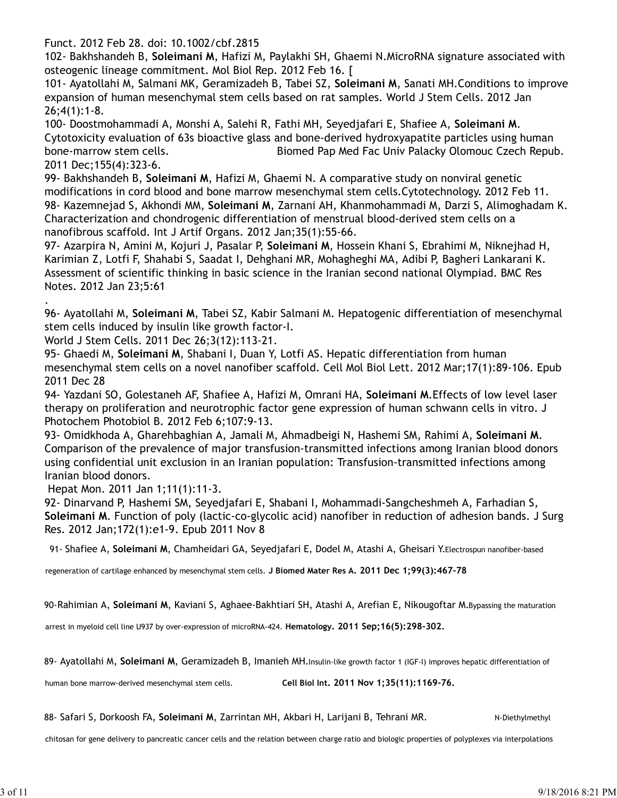Funct. 2012 Feb 28. doi: 10.1002/cbf.2815

osteogenic lineage commitment. Mol Biol Rep. 2012 Feb 16. [

Funct. 2012 Feb 28. doi: 10.1002/cbf.2815<br>102- Bakhshandeh B, **Soleimani M**, Hafizi M, Paylakhi SH, Ghaemi N.MicroRNA signature associated with<br>osteogenic lineage commitment. Mol Biol Rep. 2012 Feb 16. [<br>101- Ayatollahi M, 101- Ayatollahi M, Salmani MK, Geramizadeh B, Tabei SZ, Soleimani M, Sanati MH.Conditions to improve expansion of human mesenchymal stem cells based on rat samples. World J Stem Cells. 2012 Jan 26;4(1):1-8.

Funct. 2012 Feb 28. doi: 10.1002/cbf.2815<br>102- Bakhshandeh B, **Soleimani M**, Hafizi M, Paylakhi SH, Ghaemi N.MicroRNA signature associated with<br>osteogenic lineage commitment. Mol Biol Rep. 2012 Feb 16. [<br>101- Ayatollahi M, bone-marrow stem cells. Biomed Pap Med Fac Univ Palacky Olomouc Czech Repub. 2011 Dec;155(4):323-6.

Funct. 2012 Feb 28. doi: 10.1002/cbf.2815<br>102- Bakhshandeh B, Soleimani M, Hafizi M, Paylakhi SH, Ghaemi N.MicroRNA signature associated with<br>101- Ayatollahi M, Salmani M, Hafizi M, Paylakhi SH, Ghaemi N.MicroRNA signature modifications in cord blood and bone marrow mesenchymal stem cells.Cytotechnology. 2012 Feb 11. Funct. 2012 Feb 28. doi: 10.1002/cbf.2815<br>102- Bakhshandeh B, Soleimani M, Hafizi M, Paylakhi SH, Ghaemi N.MicroRNA signature associated with<br>101- Ayatollahi M, Salmani MK, Geramizadeh B, Tabei SZ, Soleimani M, Sanati MH.C Characterization and chondrogenic differentiation of menstrual blood-derived stem cells on a nanofibrous scaffold. Int J Artif Organs. 2012 Jan;35(1):55-66. Funct. 2012 Feb 28. doi: 10.1002/cbf.2815<br>102- Bakhshandeh B, Soleimani M, Hafizi M, Paylakhi SH, Ghaemi N.MicroRNA signature associated with<br>102- Bakhshandeh B, Soleimani M, Hafizi M, Paylakhi SH, Ghaemi M, Sanati MH.Cond 102 - Bakhshandeh B, Soleimani M, Hafrizi M, Paylakhi SH, Ghaeni N.MicroRNA signature associated with<br>101- Ayatollahi M, Salmani MK, Geramizadeh B, Tabei SZ, Soleimani M, Sanati MH. Conditions to improve<br>101- Ayatollahi M, expansion of human mesenchymal stem cells based on rat samples. World J Stem Cells. 2012 Jan<br>100- Doostmohammadi A, Monshi A, Salehi R, Fathi MH, Seyedjafari E, Shafiee A, Soleimani M, Cytotoxictly evaluation of 63s bioact Cytotoxicity evaluation of 63s bioactive glass and bone-derived hydroxyapatite particles using human<br>Done-marrow stem cells.<br>2011 Dec;155(4):323-6.<br>99: Bakhshandeh B, Soleimani M, Hafizi M, Ghaemi N. A comparative study on 99- Bakhshandeh B, Soleimani M, Hafizi M, Ghaemi N. A comparative study on nonviral genetic<br>modifications in cord blood and bone marrow mesenchymal stem cells. Cytotechnology. 2012 Feb 11.<br>98- Kazameria/2010 and chondrogen

Karimian Z, Lotfi F, Shahabi S, Saadat I, Dehghani MR, Mohagheghi MA, Adibi P, Bagheri Lankarani K. Assessment of scientific thinking in basic science in the Iranian second national Olympiad. BMC Res Notes. 2012 Jan 23;5:61

stem cells induced by insulin like growth factor-I.

World J Stem Cells. 2011 Dec 26;3(12):113-21.

mesenchymal stem cells on a novel nanofiber scaffold. Cell Mol Biol Lett. 2012 Mar;17(1):89-106. Epub 2011 Dec 28

therapy on proliferation and neurotrophic factor gene expression of human schwann cells in vitro. J Photochem Photobiol B. 2012 Feb 6;107:9-13.

using confidential unit exclusion in an Iranian population: Transfusion-transmitted infections among Iranian blood donors. 97- Azarpira N, Amini M, Kojuri J, Pasalar P, Soletimani M, Hossein Khani S, Ebrahimi M, Nikinejiad H,<br>Karimian Z, Lotf if, Shahabi S, Saadat I, Delighani MR, Mohagheghi MA, Adibi P, Bagheri Lankarani K.<br>Assessment of scie

Hepat Mon. 2011 Jan 1;11(1):11-3.

Soleimani M. Function of poly (lactic-co-glycolic acid) nanofiber in reduction of adhesion bands. J Surg Res. 2012 Jan;172(1):e1-9. Epub 2011 Nov 8

91- Shafiee A, Soleimani M, Chamheidari GA, Seyedjafari E, Dodel M, Atashi A, Gheisari Y.Electrospun nanofiber-based

regeneration of cartilage enhanced by mesenchymal stem cells. J Biomed Mater Res A. 2011 Dec 1;99(3):467-78

90-Rahimian A, Soleimani M, Kaviani S, Aghaee-Bakhtiari SH, Atashi A, Arefian E, Nikougoftar M.Bypassing the maturation

arrest in myeloid cell line U937 by over-expression of microRNA-424. Hematology. 2011 Sep;16(5):298-302.

89- Ayatollahi M, Soleimani M, Geramizadeh B, Imanieh MH.Insulin-like growth factor 1 (IGF-I) improves hepatic differentiation of

human bone marrow-derived mesenchymal stem cells. Cell Biol Int. 2011 Nov 1;35(11):1169-76.

88- Safari S, Dorkoosh FA, Soleimani M, Zarrintan MH, Akbari H, Larijani B, Tehrani MR. N-Diethylmethyl

chitosan for gene delivery to pancreatic cancer cells and the relation between charge ratio and biologic properties of polyplexes via interpolations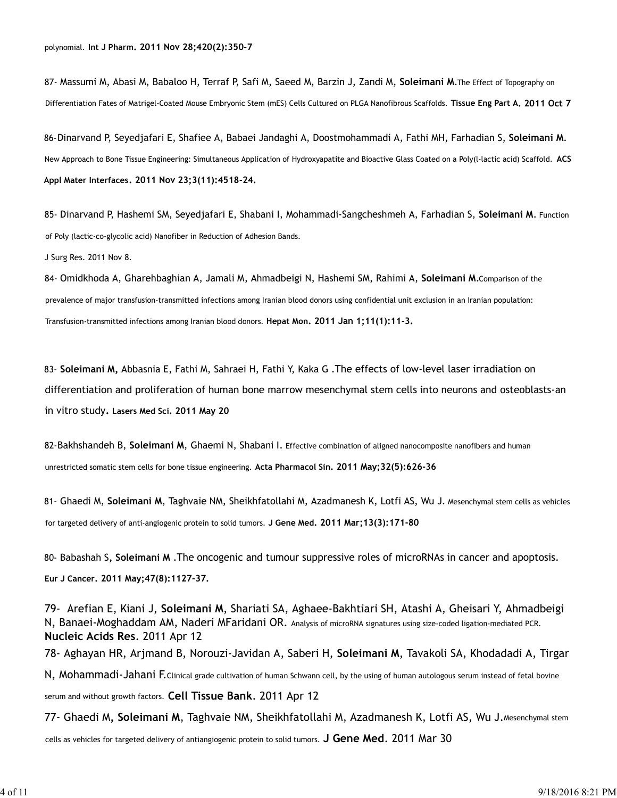87- Massumi M, Abasi M, Babaloo H, Terraf P, Safi M, Saeed M, Barzin J, Zandi M, Soleimani M.The Effect of Topography on Differentiation Fates of Matrigel-Coated Mouse Embryonic Stem (mES) Cells Cultured on PLGA Nanofibrous Scaffolds. Tissue Eng Part A. 2011 Oct 7

86-Dinarvand P, Seyedjafari E, Shafiee A, Babaei Jandaghi A, Doostmohammadi A, Fathi MH, Farhadian S, Soleimani M. New Approach to Bone Tissue Engineering: Simultaneous Application of Hydroxyapatite and Bioactive Glass Coated on a Poly(l-lactic acid) Scaffold. ACS Appl Mater Interfaces. 2011 Nov 23;3(11):4518-24.

85- Dinarvand P, Hashemi SM, Seyedjafari E, Shabani I, Mohammadi-Sangcheshmeh A, Farhadian S, Soleimani M. Function of Poly (lactic-co-glycolic acid) Nanofiber in Reduction of Adhesion Bands.

J Surg Res. 2011 Nov 8.

84- Omidkhoda A, Gharehbaghian A, Jamali M, Ahmadbeigi N, Hashemi SM, Rahimi A, Soleimani M.Comparison of the prevalence of major transfusion-transmitted infections among Iranian blood donors using confidential unit exclusion in an Iranian population: Transfusion-transmitted infections among Iranian blood donors. Hepat Mon. 2011 Jan 1;11(1):11-3.

83- Soleimani M, Abbasnia E, Fathi M, Sahraei H, Fathi Y, Kaka G .The effects of low-level laser irradiation on differentiation and proliferation of human bone marrow mesenchymal stem cells into neurons and osteoblasts-an in vitro study. Lasers Med Sci. 2011 May 20

82-Bakhshandeh B, Soleimani M, Ghaemi N, Shabani I. Effective combination of aligned nanocomposite nanofibers and human unrestricted somatic stem cells for bone tissue engineering. Acta Pharmacol Sin. 2011 May;32(5):626-36

81- Ghaedi M, Soleimani M, Taghvaie NM, Sheikhfatollahi M, Azadmanesh K, Lotfi AS, Wu J. Mesenchymal stem cells as vehicles for targeted delivery of anti-angiogenic protein to solid tumors. J Gene Med. 2011 Mar; 13(3): 171-80

80- Babashah S, Soleimani M. The oncogenic and tumour suppressive roles of microRNAs in cancer and apoptosis. Eur J Cancer. 2011 May;47(8):1127-37.

83- Soleimani M, Abbasnia E, Fathi M, Sahraei H, Fathi Y, Kaka G .The effects of low-level laser irradiation on<br>differentiation and proliferation of human bone marrow mesenchymal stem cells into neurons and osteoblasts-an<br> N, Banaei-Moghaddam AM, Naderi MFaridani OR. Analysis of microRNA signatures using size-coded ligation-mediated PCR. Nucleic Acids Res. 2011 Apr 12 Universitativity and pounderation of numeral Dote Interior intersection, the these into neutrons and osteocreasis and<br>19. The victor of the Solemani M, Ghaemi N, Shabani I. Effective combination of aligned nanocomposite na N, Mohammadi-Jahani F.Clinical grade cultivation of human Schwann cell, by the using of human autologous serum instead of fetal bovine serum and without growth factors. Cell Tissue Bank. 2011 Apr 12 unrestricted somatic stem cells for bone tissue engineering. Acta Pharmacol Sin, 2011 May;32(5):626-36<br>81- Ghaedi M, Soleimani M, Taghvaie NM, Sheikhfatollahi M, Azadmanesh K, Lotfi AS, Wu J. Mesenchymal stem cells as vehi

cells as vehicles for targeted delivery of antiangiogenic protein to solid tumors.  $J$  Gene Med. 2011 Mar 30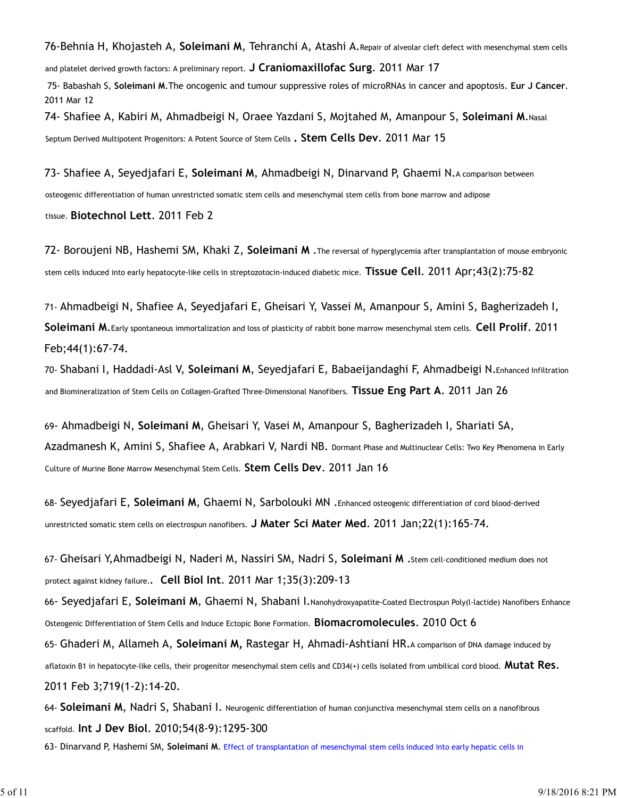76-Behnia H, Khojasteh A, Soleimani M, Tehranchi A, Atashi A.Repair of alveolar cleft defect with mesenchymal stem cells and platelet derived growth factors: A preliminary report. J Craniomaxillofac Surg. 2011 Mar 17 76-Behnia H, Khojasteh A, **Soleimani M**, Tehranchi A, Atashi A.Repair of alveolar cleft defect with mesenchymal stem cells<br>and platelet derived growth factors: A preliminary report. **J Craniomaxillofac Surg.** 2011 Mar 17<br>7 76-Behnia H, Khojasteh A, **Soleimani M**, Tehranchi A, Atashi A. <sub>Repair of alveolar cleft defect with mesenchymal stem cells<br>and platelet derived growth factors: A preliminary report. **J Craniomaxillofac Surg**. 2011 Mar 17</sub> Septum Derived Multipotent Progenitors: A Potent Source of Stem Cells . Stem Cells Dev. 2011 Mar 15 76-Behnia H, Khojasteh A, Soleimani M, Tehranchi A, Atashi A.Repair of alveolar cleft defect with mesenchymal stem cells<br>and platelet derived growth factors: A preliminary report. **J Craniomaxillofac Surg.** 2011 Mar 17<br>75-76-Behnia H, Khojasteh A, Soleimani M, Tehranchi A, Atashi A. Repair of alveolar cleft defect with mesenchymal stem cells<br>and platelet derived growth factors: A preliminary report. J Craniomaxillofac Surg. 2011 Mar 17<br>75-

osteogenic differentiation of human unrestricted somatic stem cells and mesenchymal stem cells from bone marrow and adipose tissue. Biotechnol Lett. 2011 Feb 2

stem cells induced into early hepatocyte-like cells in streptozotocin-induced diabetic mice. Tissue Cell. 2011 Apr;43(2):75-82

71- Ahmadbeigi N, Shafiee A, Seyedjafari E, Gheisari Y, Vassei M, Amanpour S, Amini S, Bagherizadeh I, Soleimani M. Early spontaneous immortalization and loss of plasticity of rabbit bone marrow mesenchymal stem cells. Cell Prolif. 2011 Feb;44(1):67-74.

70- Shabani I, Haddadi-Asl V, Soleimani M, Seyedjafari E, Babaeijandaghi F, Ahmadbeigi N.Enhanced Infiltration and Biomineralization of Stem Cells on Collagen-Grafted Three-Dimensional Nanofibers. Tissue Eng Part A. 2011 Jan 26

73- Shafiee A, Seyedjafari E, Soleimani M, Ahmadbeigi N, Dinarvand P, Ghaemi N.A comparison between<br>ostesgenic differentiation of human unrestricted somatic stem cells and mesenchymal stem cells from bone marrow and adjose Azadmanesh K, Amini S, Shafiee A, Arabkari V, Nardi NB. Dormant Phase and Multinuclear Cells: Two Key Phenomena in Early Culture of Murine Bone Marrow Mesenchymal Stem Cells. Stem Cells Dev. 2011 Jan 16 Feb;44(1):67-74.<br>To-Shabani I, Haddadi-Asil V, Soleimani M, Seyedjafari E, Babaeijandaghi F, Ahmadbeigi N.enhancel Infiltration<br>and Biomineralization of Stem Cells on Collagen-Grafted Three-Dimensional Nanofibers. **Tissue** 

68- Seyedjafari E, Soleimani M, Ghaemi N, Sarbolouki MN .Enhanced osteogenic differentiation of cord blood-derived unrestricted somatic stem cells on electrospun nanofibers. J Mater Sci Mater Med. 2011 Jan;22(1):165-74.

67- Gheisari Y,Ahmadbeigi N, Naderi M, Nassiri SM, Nadri S, Soleimani M. Stem cell-conditioned medium does not protect against kidney failure.. Cell Biol Int. 2011 Mar  $1;35(3):209-13$ 

Osteogenic Differentiation of Stem Cells and Induce Ectopic Bone Formation. **Biomacromolecules.** 2010 Oct 6

65- Ghaderi M, Allameh A, Soleimani M, Rastegar H, Ahmadi-Ashtiani HR.A comparison of DNA damage induced by aflatoxin B1 in hepatocyte-like cells, their progenitor mesenchymal stem cells and CD34(+) cells isolated from umbilical cord blood. Mutat Res. 2011 Feb 3;719(1-2):14-20. 68- Seyedjafari E, Soleimani M, Ghaemi N, Sarbolouki MN .Enhanced osteogenic differentiation of cord blood-derived<br>unrestricted somatic stem cells on electrospun nanofibers. **J Mater Sci Mater Med.** 2011 Jan;22(1):165-74.<br>

64- Soleimani M, Nadri S, Shabani I. Neurogenic differentiation of human conjunctiva mesenchymal stem cells on a nanofibrous scaffold. Int J Dev Biol. 2010;54(8-9):1295-300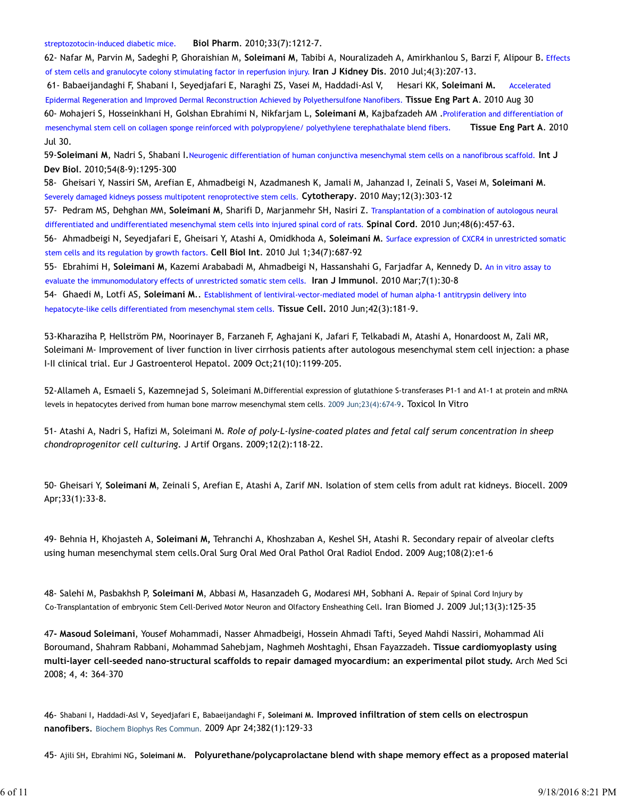of stem cells and granulocyte colony stimulating factor in reperfusion injury. Iran J Kidney Dis. 2010 Jul;4(3):207-13.

streptozotocin-induced diabetic mice. Biol Pharm. 2010;33(7):1212-7.<br>62- Nafar M, Parvin M, Sadeghi P, Ghoraishian M, Soleimani M, Tabibi A, Nouralizadeh A, Amirkhanlou S, Barzi F, Alipe<br>61- Babaeijandaghi F, Shabani I, Se 62- Nafar M, Parvin M, Sadeghi P, Ghoraishian M, Soleimani M, Tabibi A, Nouralizadeh A, Amirkhanlou S, Barzi F, Alipour B. Effects treptozotocin-induced diabetic mice. Biol Pharm. 2010;33(7):1212-7.<br>52- Nafar M., Parvin M., Sadeghi P, Ghoraishian M, Soleimani M, Tabibi A, Nouralizadeh A, Amirkhanlou S, Barzi F, Alipour B. Effects<br>61- Babaeijan Epidermal Regeneration and Improved Dermal Reconstruction Achieved by Polyethersulfone Nanofibers. Tissue Eng Part A. 2010 Aug 30 streptozotocin-induced diabetic mice. Biol Pharm. 2010;33(7):1212-7.<br>62- Nafar M, Parvin M, Sadeghi P, Ghoraishian M, Soleimani M, Tabibi A, Nouralizadeh A, Amirkhanlou S, Barzi F, Alipour B. Effects<br>6 feter cells and gran streptozotocin-induced diabetic mice. Biol Pharm. 2010;33(7):1212-7.<br>62- Nafar M, Parvin M, Sadeghi P, Ghoraishian M, Soleimani M, Tabibi A, Nouralizadeh A, Amirkhanlou S, Barzi F, Alipour B. Effects<br>61- Encless and granul Jul 30. streptozotocin-induced diabetic mice. Biol Pharm. 2010;33(7):1212-7.<br>62- Nafar M, Parvin M, Sadeghi P, Ghorashian M, Soleimani M, Tabibi A, Nouralizadeh A, Amirkhanlou S, Barzi F, Alipour B. Effects<br>of stem cells and granu streptozotoch-inotued diabetic mice. Biol Pharm, 2010;33(7):1212-7.<br>52- Nafar M, Parvin M, Sadeghi P, Ghoraishian M, Soleimani M, Tabibi A, Nouralizadeh A, Amirkhanlou S, Barzi F, Alipour B. Effects<br>of stem cells and granu streptozotocin-induced diabetic mice. Biol Pharm, 2010;33(7):1212-7.<br>66- Nafar M, Parvin M, Sadeghi P, Ghoratishian M, Soleimani M, Tabibi A, Nouralizzadeh A, Amirkhanlou S, Barzi F, Alipour B. Effects<br>of stem cels and gra streptozotocin-induced diabetic mice. Biol Pharm. 2010;33(7):1212-7.<br>62- Nafar M, Parvin M, Sadeghi P, Ghorásthian M, Soleimani M, Tablinian, M, Mouralizadeh A, Amirkhanlous S, Barzi F, Alipour B. Effects<br>of stem cells and streptozotoch-induced diabetic mice. Biol Pharm, 2010;33(7):1212-7.<br>
62- Nafar M, Parvin M, Sadephi P, Ghoristhmian M, Soleimani M, Rabibi A, Nouralizadeh A, Amirkhanlou S, Barzi F, Alipour B. Effects<br>
of stem cells and ga

59-Soleimani M, Nadri S, Shabani I. Neurogenic differentiation of human conjunctiva mesenchymal stem cells on a nanofibrous scaffold. Int J Dev Biol. 2010;54(8-9):1295-300

differentiated and undifferentiated mesenchymal stem cells into injured spinal cord of rats. Spinal Cord. 2010 Jun;48(6):457-63.

stem cells and its regulation by growth factors. Cell Biol Int. 2010 Jul 1;34(7):687-92

evaluate the immunomodulatory effects of unrestricted somatic stem cells. Iran J Immunol. 2010 Mar;7(1):30-8

hepatocyte-like cells differentiated from mesenchymal stem cells. Tissue Cell. 2010 Jun;42(3):181-9.

53-Kharaziha P, Hellström PM, Noorinayer B, Farzaneh F, Aghajani K, Jafari F, Telkabadi M, Atashi A, Honardoost M, Zali MR, Soleimani M- Improvement of liver function in liver cirrhosis patients after autologous mesenchymal stem cell injection: a phase I-II clinical trial. Eur J Gastroenterol Hepatol. 2009 Oct;21(10):1199-205. Dev Biol. CDUIS-8(4-5): 1295-300<br>SS- Ghelsari Y, Nassiri SM, Arefian E, Ahmadbeigi N, Azadmanesh K, Jamail M, Jahanzad I, Zeinaii S, Vasei M, Soleimani M.<br>Sr- Pedram MS, Dehiyaan MM, Soleimani M, Sharifi D, Marjanmehr SH, differentiated and millionterentiated mesonchymal stem ecclis into hipred spinal Coris ASpinal Cord. 2010 Jun-48(6):457-63.<br>S56- Ghemandelgi N, Seyedjafarl E, Gheisari Y, Atashi A, Omidkhoda A, Soleimani M. Surface express evaluate be immunomodulatory effects of unrestricted somatic stem cells. Iran J Immunol, 2010 Mart7(1):30-8<br>194- Ghaedi M, Lotfi AS, Soleimani M., Establishment of ientivial vector-mediated model of human alpha-1 antitypas 53- Kharaziha P, Heliström MM, Noorinager B, Farzaneh F, Aghajani K, Jafari F, Teikabad M, Atashi A, Honardoost M, Zali MR,<br>Soleimani M- Improvement of there function in liver cirricosis patients after autologous mesenchym

52-Allameh A, Esmaeli S, Kazemnejad S, Soleimani M.Differential expression of glutathione S-transferases P1-1 and A1-1 at protein and mRNA levels in hepatocytes derived from human bone marrow mesenchymal stem cells. 2009 Jun;23(4):674-9. Toxicol In Vitro

chondroprogenitor cell culturing. J Artif Organs. 2009;12(2):118-22.

Apr;33(1):33-8.

using human mesenchymal stem cells.Oral Surg Oral Med Oral Pathol Oral Radiol Endod. 2009 Aug;108(2):e1-6

Co-Transplantation of embryonic Stem Cell-Derived Motor Neuron and Olfactory Ensheathing Cell. Iran Biomed J. 2009 Jul;13(3):125-35

52-Allameh A, Esmaeli S, Kazenmejad S, Soleimani M.Differential expression of glutathione S-transferase P1-1 and At-1 at protein and mRNA<br>levels in hepatocytes derived from human bone marrow mesenchymal stem cells. 2009 Ju Boroumand, Shahram Rabbani, Mohammad Sahebjam, Naghmeh Moshtaghi, Ehsan Fayazzadeh. Tissue cardiomyoplasty using multi-layer cell-seeded nano-structural scaffolds to repair damaged myocardium: an experimental pilot study. Arch Med Sci 2008; 4, 4: 364–370

46- Shabani I, Haddadi-Asl V, Seyedjafari E, Babaeijandaghi F, Soleimani M. Improved infiltration of stem cells on electrospun nanofibers. Biochem Biophys Res Commun. 2009 Apr 24;382(1):129-33

45- Ajili SH, Ebrahimi NG, Soleimani M. Polyurethane/polycaprolactane blend with shape memory effect as a proposed material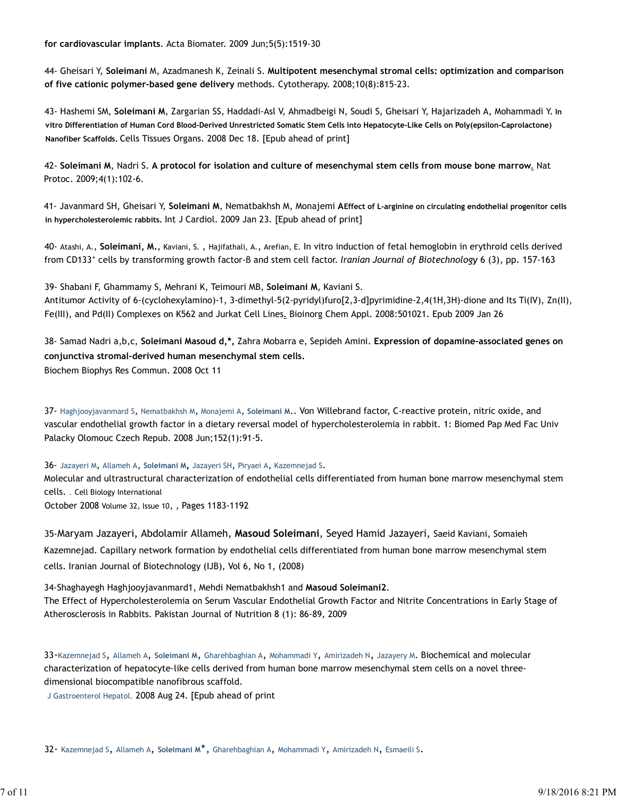of five cationic polymer-based gene delivery methods. Cytotherapy. 2008;10(8):815-23.

for cardiovascular implants. Acta Biomater. 2009 Jun;5(5):1519-30<br>44- Gheisari Y, Soleimani M, Azadmanesh K, Zeinali S. Multipotent mesenchymal stromal cells: optimization and comparison<br>of five cationic polymer-based gene for cardiovascular implants. Acta Biomater. 2009 Jun;5(5):1519-30<br>44- Gheisari Y, Soleimani M, Azadmanesh K, Zeinali S. Multipotent mesenchymal stromal cells: optimization and comparison<br>of five cationic polymer-based gene vitro Differentiation of Human Cord Blood-Derived Unrestricted Somatic Stem Cells into Hepatocyte-Like Cells on Poly(epsilon-Caprolactone) Nanofiber Scaffolds. Cells Tissues Organs. 2008 Dec 18. [Epub ahead of print] for cardiovascular implants. Acta Biomater. 2009 Jun;5(5):1519-30<br>44- Gheisari Y, Soleimani M, Azadmanesh K, Zeinali S. Multipotent mesenchymal stromal cells: optimization and comparison<br>6r five cationic polymer-based gene

42- Soleimani M, Nadri S. A protocol for isolation and culture of mesenchymal stem cells from mouse bone marrow. Nat Protoc. 2009;4(1):102-6.

in hypercholesterolemic rabbits. Int J Cardiol. 2009 Jan 23. [Epub ahead of print]

40- Atashi, A., Soleimani, M., Kaviani, S. , Hajifathali, A., Arefian, E. In vitro induction of fetal hemoglobin in erythroid cells derived from CD133<sup>+</sup> cells by transforming growth factor-B and stem cell factor. Iranian Journal of Biotechnology 6 (3), pp. 157-163

for cardiovascular implants. Acta Biomater. 2009 Jun;5(5):1519-30<br>44- Ghelsari Y, Soleimani M, Azadmanesh K, Zeinali S. Multipotent mesenchymal stromal cells: optimizat<br>61 five cationic polymer-based gene delivery methods. Antitumor Activity of 6-(cyclohexylamino)-1, 3-dimethyl-5(2-pyridyl)furo[2,3-d]pyrimidine-2,4(1H,3H)-dione and Its Ti(IV), Zn(II), Fe(III), and Pd(II) Complexes on K562 and Jurkat Cell Lines. Bioinorg Chem Appl. 2008:501021. Epub 2009 Jan 26 of five cationic polymer-based gene delivery methods. Cytotherapy, 2008;10(8):815-23.<br>43- Hashemi SM, Soleimani M, Zargarian SS, Haddadi-Asl V, Ahmadbeigi N, Soudi S, Gheisari Y, Hajarizadeh A, Mohammadi Y. In<br>vitro Differ

conjunctiva stromal-derived human mesenchymal stem cells. Biochem Biophys Res Commun. 2008 Oct 11

37- Haghjooyjavanmard S, Nematbakhsh M, Monajemi A, Soleimani M.. Von Willebrand factor, C-reactive protein, nitric oxide, and vascular endothelial growth factor in a dietary reversal model of hypercholesterolemia in rabbit. 1: Biomed Pap Med Fac Univ Palacky Olomouc Czech Repub. 2008 Jun;152(1):91-5.

36- Jazayeri M, Allameh A, Soleimani M, Jazayeri SH, Piryaei A, Kazemnejad S.

Molecular and ultrastructural characterization of endothelial cells differentiated from human bone marrow mesenchymal stem cells. . Cell Biology International

October 2008 Volume 32, Issue 10, , Pages 1183-1192

35-Maryam Jazayeri, Abdolamir Allameh, Masoud Soleimani, Seyed Hamid Jazayeri, Saeid Kaviani, Somaieh Kazemnejad. Capillary network formation by endothelial cells differentiated from human bone marrow mesenchymal stem cells. Iranian Journal of Biotechnology (IJB), Vol 6, No 1, (2008)

34-Shaghayegh Haghjooyjavanmard1, Mehdi Nematbakhsh1 and Masoud Soleimani2. The Effect of Hypercholesterolemia on Serum Vascular Endothelial Growth Factor and Nitrite Concentrations in Early Stage of Atherosclerosis in Rabbits. Pakistan Journal of Nutrition 8 (1): 86-89, 2009

33-Kazemnejad S, Allameh A, Soleimani M, Gharehbaghian A, Mohammadi Y, Amirizadeh N, Jazayery M. Biochemical and molecular characterization of hepatocyte-like cells derived from human bone marrow mesenchymal stem cells on a novel threedimensional biocompatible nanofibrous scaffold.

J Gastroenterol Hepatol. 2008 Aug 24. [Epub ahead of print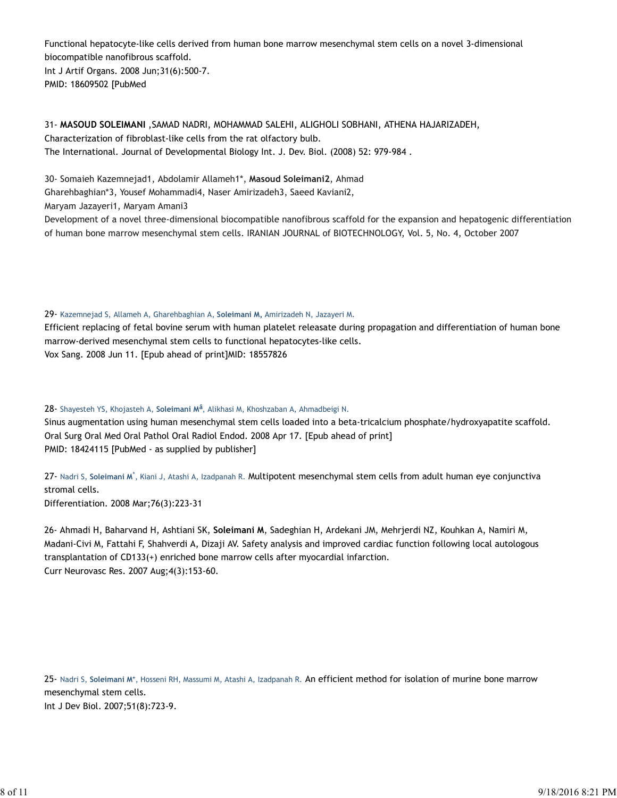Functional hepatocyte-like cells derived from human bone marrow mesenchymal stem cells on a novel 3-dimensional biocompatible nanofibrous scaffold.

Int J Artif Organs. 2008 Jun;31(6):500-7. PMID: 18609502 [PubMed

31- MASOUD SOLEIMANI ,SAMAD NADRI, MOHAMMAD SALEHI, ALIGHOLI SOBHANI, ATHENA HAJARIZADEH, Characterization of fibroblast-like cells from the rat olfactory bulb. Functional. hepatocyte-like cells derived from human bone marrow mesenchymal stem cells on a novel 3-dimensional<br>International of Developmental Biol. 1998<br>PMD: 18609502 [PubMed<br>31- **MASOUD SOLEIMANI** , SAMAD NADRI, MOHAMMA

Gharehbaghian\*3, Yousef Mohammadi4, Naser Amirizadeh3, Saeed Kaviani2,

Maryam Jazayeri1, Maryam Amani3

Development of a novel three-dimensional biocompatible nanofibrous scaffold for the expansion and hepatogenic differentiation of human bone marrow mesenchymal stem cells. IRANIAN JOURNAL of BIOTECHNOLOGY, Vol. 5, No. 4, October 2007

#### 29- Kazemnejad S, Allameh A, Gharehbaghian A, Soleimani M, Amirizadeh N, Jazayeri M.

Efficient replacing of fetal bovine serum with human platelet releasate during propagation and differentiation of human bone marrow-derived mesenchymal stem cells to functional hepatocytes-like cells. Vox Sang. 2008 Jun 11. [Epub ahead of print]MID: 18557826

## 28- Shayesteh YS, Khojasteh A, Soleimani M<sup>â</sup>, Alikhasi M, Khoshzaban A, Ahmadbeigi N.

Sinus augmentation using human mesenchymal stem cells loaded into a beta-tricalcium phosphate/hydroxyapatite scaffold. Oral Surg Oral Med Oral Pathol Oral Radiol Endod. 2008 Apr 17. [Epub ahead of print] PMID: 18424115 [PubMed - as supplied by publisher]

27- Nadri S, Soleimani M\*, Kiani J, Atashi A, Izadpanah R. **Multipotent mesenchymal stem cells from adult human eye conjunctiva** stromal cells. Differentiation. 2008 Mar;76(3):223-31

29- Kazemnejad S, Allameh A, Gharehbaghian A, Soleimani M, Amirizadeh N, Jazayeri M.<br>Efficient replacing of fetal bovine serum with human platelet releasate during propagation and differentiation of human bone<br>marrow-deriv Madani-Civi M, Fattahi F, Shahverdi A, Dizaji AV. Safety analysis and improved cardiac function following local autologous transplantation of CD133(+) enriched bone marrow cells after myocardial infarction. Curr Neurovasc Res. 2007 Aug;4(3):153-60.

25- Nadri S, Soleimani M\*, Hosseni RH, Massumi M, Atashi A, Izadpanah R. An efficient method for isolation of murine bone marrow mesenchymal stem cells. Int J Dev Biol. 2007;51(8):723-9.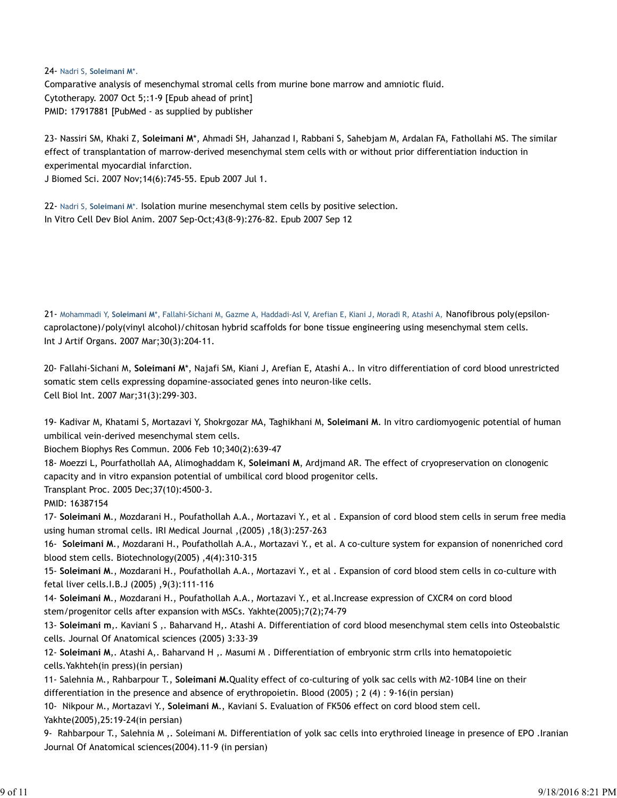24- Nadri S, Soleimani M\*.

Comparative analysis of mesenchymal stromal cells from murine bone marrow and amniotic fluid. Cytotherapy. 2007 Oct 5;:1-9 [Epub ahead of print] PMID: 17917881 [PubMed - as supplied by publisher

24- Nadri S, Soleimani M\*,<br>Comparative analysis of mesenchymal stromal cells from murine bone marrow and amniotic fluid.<br>Cytotherapy. 2007 Oct 5;:1-9 [Epub ahead of print]<br>MMD: 17917881 [PubMed - as supplied by publisher<br>2 effect of transplantation of marrow-derived mesenchymal stem cells with or without prior differentiation induction in experimental myocardial infarction. PMD: 17917881 [PubMed - as supplied by publisher<br>23- Nassiri SM, Khaki Z, Soleimani M\*, Ahmadi SH, Jahanzad I, Rabbani S, Sahebjam M, Ardalan FA, Fathollahi MS. The similar<br>effect of transplantation of marrow-derived meson

J Biomed Sci. 2007 Nov;14(6):745-55. Epub 2007 Jul 1.

22- Nadri S, Soleimani M\*. Isolation murine mesenchymal stem cells by positive selection. In Vitro Cell Dev Biol Anim. 2007 Sep-Oct;43(8-9):276-82. Epub 2007 Sep 12

21- Mohammadi Y, Soleimani M\*, Fallahi-Sichani M, Gazme A, Haddadi-Asl V, Arefian E, Kiani J, Moradi R, Atashi A, Nanofibrous poly(epsiloncaprolactone)/poly(vinyl alcohol)/chitosan hybrid scaffolds for bone tissue engineering using mesenchymal stem cells. Int J Artif Organs. 2007 Mar;30(3):204-11.

somatic stem cells expressing dopamine-associated genes into neuron-like cells. Cell Biol Int. 2007 Mar;31(3):299-303. experimental myocardial infarction.<br>
19 Bioned Scl. 2007 Nov;14(6):745-55. Epub 2007 Jul 1.<br>
22- Nadris, Soleimani M'. Isolation murine mesenchymal stem cells by positive selection.<br>
19 In Vitro Cell Dev Biol Anim. 2007 Se 22- Nadris, Soleimani Mi. Isolation murine mesenchymal stem cells by positive selection.<br>
In Vitro Cell Dev Biol Anim. 2007 Sep-Oct;43(8-9):276-82. Epub 2007 Sep 12<br>
21- Mohammad! Y. Soleimani Mi. Fallah!-Sichani M, Gazme

umbilical vein-derived mesenchymal stem cells.

Biochem Biophys Res Commun. 2006 Feb 10;340(2):639-47

capacity and in vitro expansion potential of umbilical cord blood progenitor cells. 19- Kadivar M, Khxtamari S, Mortazarvi Y, Shokeysarar MA, Taghikhani M, Soleimani M. In vitro cardiomyogenic potential of human<br>Umbliical vein-derived mesenchymal stem cells.<br>
Blochem Biophys Res Commun. 2006 Feb 10;340(2)

Transplant Proc. 2005 Dec;37(10):4500-3.

PMID: 16387154

17- Soleimani M., Mozdarani H., Poufathollah A.A., Mortazavi Y., et al . Expansion of cord blood stem cells in serum free media using human stromal cells. IRI Medical Journal ,(2005) ,18(3):257-263

16- Soleimani M., Mozdarani H., Poufathollah A.A., Mortazavi Y., et al. A co-culture system for expansion of nonenriched cord blood stem cells. Biotechnology(2005) ,4(4):310-315

15- Soleimani M., Mozdarani H., Poufathollah A.A., Mortazavi Y., et al . Expansion of cord blood stem cells in co-culture with fetal liver cells.I.B.J (2005) ,9(3):111-116

14- Soleimani M., Mozdarani H., Poufathollah A.A., Mortazavi Y., et al.Increase expression of CXCR4 on cord blood stem/progenitor cells after expansion with MSCs. Yakhte(2005);7(2);74-79

13- Soleimani m,. Kaviani S ,. Baharvand H,. Atashi A. Differentiation of cord blood mesenchymal stem cells into Osteobalstic cells. Journal Of Anatomical sciences (2005) 3:33-39

12- Soleimani M,. Atashi A,. Baharvand H,. Masumi M. Differentiation of embryonic strm crlls into hematopoietic cells.Yakhteh(in press)(in persian)

differentiation in the presence and absence of erythropoietin. Blood (2005) ; 2 (4) : 9-16(in persian)

Yakhte(2005),25:19-24(in persian)

Biochem Biophys Res Commun. 2006 Feb 10;340(2):639-47<br>16- Moezzi L, Pourfatholla AA, Alimoghaddam K, Soleimani M, Ardjmand AR. The effect of cryopreservation on clonogenic<br>Transplant Proc. 2005 Dec;37(10):4500-3.<br>The Capac epaperty and in vitro expansion potential of umblitical cord blood progenitor cells.<br>Transplant Proc. 2005 Dec:37(10):4500-3.<br>
PMD: 16387154<br>
MD: 16387154<br>
Soleimani M., Mozdarani H., Poufathollah A.A., Mortazavi Y., et al Journal Of Anatomical sciences(2004).11-9 (in persian)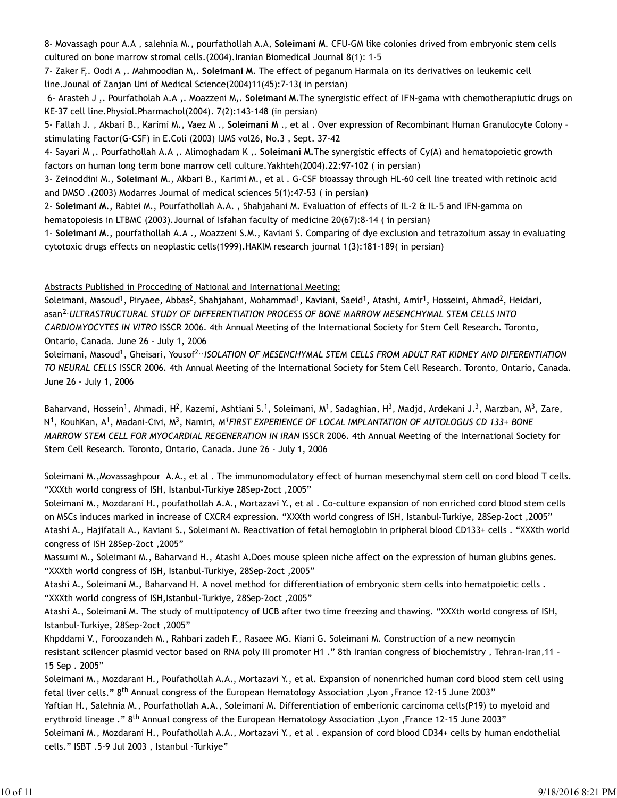8- Movassagh pour A.A , salehnia M., pourfathollah A.A, **Soleimani M**. CFU-GM like colonies drived from embryonic stem cells<br>cultured on bone marrow stromal cells.(2004).Iranian Biomedical Journal 8(1): 1-5<br>7- Zaker F,. Oo cultured on bone marrow stromal cells.(2004).Iranian Biomedical Journal 8(1): 1-5

line.Jounal of Zanjan Uni of Medical Science(2004)11(45):7-13( in persian)

8- Movassagh pour A.A , salehnia M., pourfathollah A.A, Soleimani M. CFU-GM like colonies drived from embryonic stem cells<br>cultured on bone marrow stromal cells.(2004).Iranian Biomedical Journal 8(1): 1-5<br>7- Zaker F,. Oodi 8- Movassagh pour A.A , salehnia M., pourfathollah A.A, **Soleimani M**. CFU-GM like colonies drived from embryonic stem cells<br>cultured on bone marrow stromal cells.(2004).Iranian Biomedical Journal 8(1): 1-5<br>7- Zaker F,. Oo KE-37 cell line.Physiol.Pharmachol(2004). 7(2):143-148 (in persian) 8- Movassagh pour A.A , salehnia M., pourfathollah A.A, Soleimani M. CFU-GM like colonies drived from embryonic stem cells<br>cultured on bone marrow stromal cells.(2004).Iranian Biomedical Journal 8(1): 1-5<br>7- Zaker F, . Ood 8- Movassagh pour A.A , salehnia M., pourfathollah A.A, Soleimani M. CFU-GM like colonies drived from embryonic stem cells<br>cultured on bone marrow stromal cells. (2004).Iranian Biomedical Journal 8(1): 1-5<br>7- Zaker F,. Ood 8- Movassagh pour A.A , salehnia M., pourfathollah A.A, Soleimani M. CFU-GM like colonies drived from embryonic stem cells<br>cultured on bone marrow stromal cells.(2004).Iranian Biomedical Journal 8(1): 1-5<br>7- Zaker F,. Oodi

stimulating Factor(G-CSF) in E.Coli (2003) IJMS vol26, No.3 , Sept. 37-42

factors on human long term bone marrow cell culture.Yakhteh(2004).22:97-102 ( in persian)

and DMSO .(2003) Modarres Journal of medical sciences 5(1):47-53 ( in persian)

2- Soleimani M., Rabiei M., Pourfathollah A.A. , Shahjahani M. Evaluation of effects of IL-2 & IL-5 and IFN-gamma on hematopoiesis in LTBMC (2003). Journal of Isfahan faculty of medicine 20(67):8-14 (in persian)

1- Soleimani M., pourfathollah A.A ., Moazzeni S.M., Kaviani S. Comparing of dye exclusion and tetrazolium assay in evaluating cytotoxic drugs effects on neoplastic cells(1999).HAKIM research journal 1(3):181-189( in persian)

## Abstracts Published in Procceding of National and International Meeting:

Soleimani, Masoud<sup>1</sup>, Piryaee, Abbas<sup>2</sup>, Shahjahani, Mohammad<sup>1</sup>, Kaviani, Saeid<sup>1</sup>, Atashi, Amir<sup>1</sup>, Hosseini, Ahmad<sup>2</sup>, Heidari, asan<sup>2.</sup>ULTRASTRUCTURAL STUDY OF DIFFERENTIATION PROCESS OF BONE MARROW MESENCHYMAL STEM CELLS INTO CARDIOMYOCYTES IN VITRO ISSCR 2006. 4th Annual Meeting of the International Society for Stem Cell Research. Toronto, Ontario, Canada. June 26 - July 1, 2006

Soleimani, Masoud<sup>1</sup>, Gheisari, Yousof<sup>2..</sup>ISOLATION OF MESENCHYMAL STEM CELLS FROM ADULT RAT KIDNEY AND DIFERENTIATION TO NEURAL CELLS ISSCR 2006. 4th Annual Meeting of the International Society for Stem Cell Research. Toronto, Ontario, Canada. June 26 - July 1, 2006

Baharvand, Hossein<sup>1</sup>, Ahmadi, H<sup>2</sup>, Kazemi, Ashtiani S.<sup>1</sup>, Soleimani, M<sup>1</sup>, Sadaghian, H<sup>3</sup>, Madjd, Ardekani J.<sup>3</sup>, Marzban, M<sup>3</sup>, Zare, N<sup>1</sup>, KouhKan, A<sup>1</sup>, Madani-Civi, M<sup>3</sup>, Namiri, *M<sup>1</sup>FIRST EXPERIENCE OF LOCAL IMPLANTATION OF AUTOLOGUS CD 133+ BONE* MARROW STEM CELL FOR MYOCARDIAL REGENERATION IN IRAN ISSCR 2006. 4th Annual Meeting of the International Society for Stem Cell Research. Toronto, Ontario, Canada. June 26 - July 1, 2006

Soleimani M.,Movassaghpour A.A., et al . The immunomodulatory effect of human mesenchymal stem cell on cord blood T cells. "XXXth world congress of ISH, Istanbul-Turkiye 28Sep-2oct ,2005"

Soleimani M., Mozdarani H., poufathollah A.A., Mortazavi Y., et al . Co-culture expansion of non enriched cord blood stem cells on MSCs induces marked in increase of CXCR4 expression. "XXXth world congress of ISH, Istanbul-Turkiye, 28Sep-2oct ,2005" Atashi A., Hajifatali A., Kaviani S., Soleimani M. Reactivation of fetal hemoglobin in pripheral blood CD133+ cells . "XXXth world congress of ISH 28Sep-2oct ,2005"

Massumi M., Soleimani M., Baharvand H., Atashi A.Does mouse spleen niche affect on the expression of human glubins genes. "XXXth world congress of ISH, Istanbul-Turkiye, 28Sep-2oct ,2005"

Atashi A., Soleimani M., Baharvand H. A novel method for differentiation of embryonic stem cells into hematpoietic cells . "XXXth world congress of ISH,Istanbul-Turkiye, 28Sep-2oct ,2005"

Atashi A., Soleimani M. The study of multipotency of UCB after two time freezing and thawing. "XXXth world congress of ISH, Istanbul-Turkiye, 28Sep-2oct ,2005"

Khpddami V., Foroozandeh M., Rahbari zadeh F., Rasaee MG. Kiani G. Soleimani M. Construction of a new neomycin resistant scilencer plasmid vector based on RNA poly III promoter H1 ." 8th Iranian congress of biochemistry , Tehran-Iran,11 – 15 Sep . 2005"

Soleimani M., Mozdarani H., Poufathollah A.A., Mortazavi Y., et al. Expansion of nonenriched human cord blood stem cell using fetal liver cells." 8th Annual congress of the European Hematology Association ,Lyon ,France 12-15 June 2003" Yaftian H., Salehnia M., Pourfathollah A.A., Soleimani M. Differentiation of emberionic carcinoma cells(P19) to myeloid and erythroid lineage ." 8th Annual congress of the European Hematology Association ,Lyon ,France 12-15 June 2003" Soleimani M., Mozdarani H., Poufathollah A.A., Mortazavi Y., et al . expansion of cord blood CD34+ cells by human endothelial cells." ISBT .5-9 Jul 2003 , Istanbul -Turkiye"